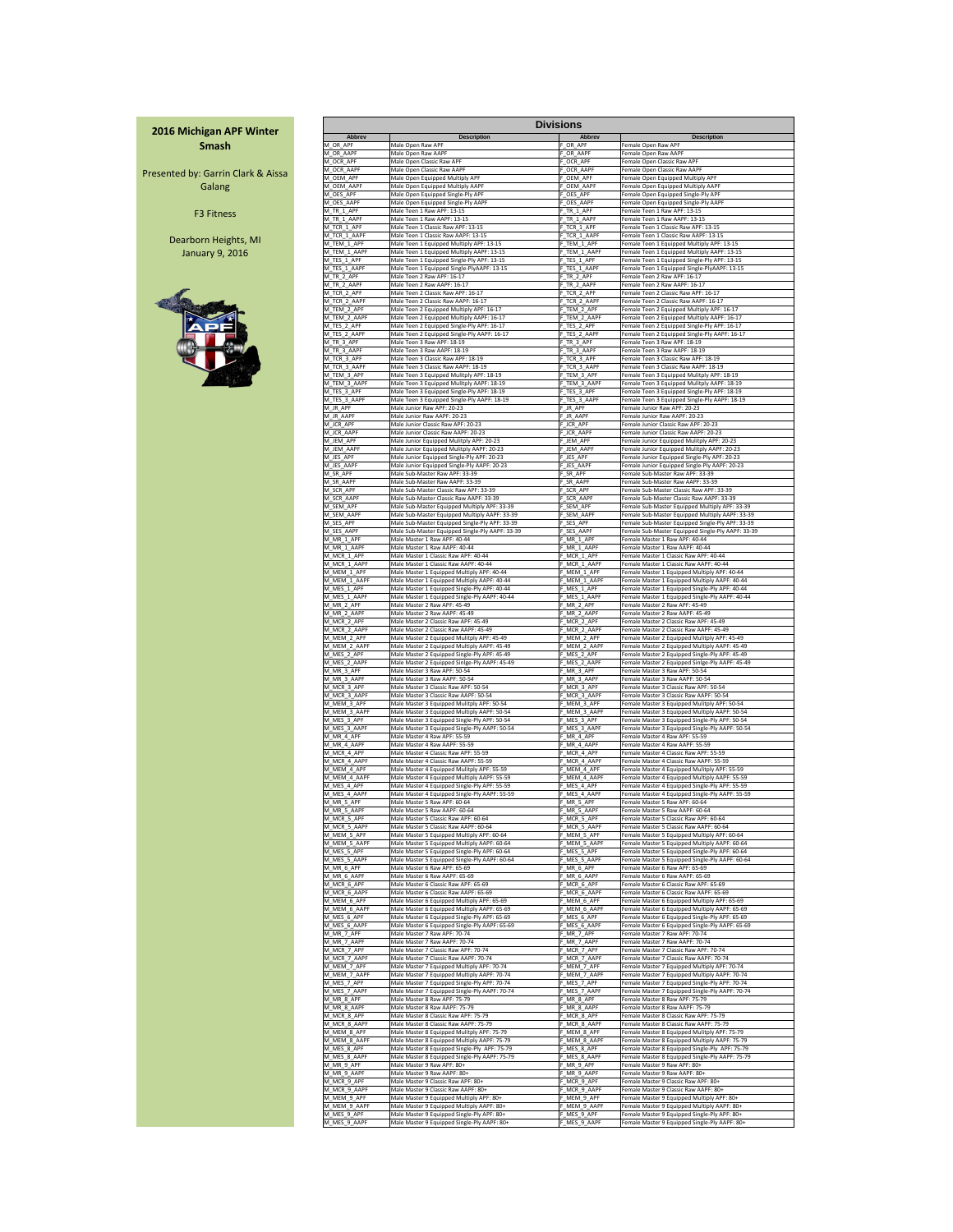|                             |                                                                   | <b>Divisions</b>            |                                                                       |
|-----------------------------|-------------------------------------------------------------------|-----------------------------|-----------------------------------------------------------------------|
| <b>Abbrev</b>               | <b>Description</b>                                                | <b>Abbrev</b>               | <b>Description</b>                                                    |
| M_OR_APF                    | Male Open Raw APF                                                 | F OR APF                    | Female Open Raw APF                                                   |
| M OR AAPF                   | Male Open Raw AAPF                                                | F OR AAPF                   | Female Open Raw AAPF                                                  |
| M_OCR_APF                   | Male Open Classic Raw APF                                         | F OCR APF                   | Female Open Classic Raw APF                                           |
| M OCR AAPF                  | Male Open Classic Raw AAPF                                        | F OCR AAPF                  | Female Open Classic Raw AAPF                                          |
| M_OEM_APF                   | Male Open Equipped Multiply APF                                   | F OEM APF                   | Female Open Equipped Multiply APF                                     |
| M OEM AAPF                  | Male Open Equipped Multiply AAPF                                  | OEM AAPF                    | Female Open Equipped Multiply AAPF                                    |
| M_OES_APF                   | Male Open Equipped Single-Ply APF                                 | F OES APF                   | Female Open Equipped Single-Ply APF                                   |
| M_OES AAPF                  | Male Open Equipped Single-Ply AAPF                                | F OES AAPF                  | Female Open Equipped Single-Ply AAPF                                  |
| M_TR_1_APF                  | Male Teen 1 Raw APF: 13-15                                        | F TR 1 APF                  | Female Teen 1 Raw APF: 13-15                                          |
| M TR 1 AAPF                 | Male Teen 1 Raw AAPF: 13-15                                       | F TR 1 AAPF                 | Female Teen 1 Raw AAPF: 13-15                                         |
| M_TCR_1_APF                 | Male Teen 1 Classic Raw APF: 13-15                                | F TCR 1 APF                 | Female Teen 1 Classic Raw APF: 13-15                                  |
| M_TCR_1_AAPF                | Male Teen 1 Classic Raw AAPF: 13-15                               | F TCR 1 AAPF                | Female Teen 1 Classic Raw AAPF: 13-15                                 |
| M TEM 1 APF                 | Male Teen 1 Equipped Multiply APF: 13-15                          | F TEM 1 APF                 | Female Teen 1 Equipped Multiply APF: 13-15                            |
| M TEM 1 AAPF                | Male Teen 1 Equipped Multiply AAPF: 13-15                         | F TEM 1 AAPF                | Female Teen 1 Equipped Multiply AAPF: 13-15                           |
| M TES 1 APF                 | Male Teen 1 Equipped Single-Ply APF: 13-15                        | F TES 1 APF                 | Female Teen 1 Equipped Single-Ply APF: 13-15                          |
| M_TES_1_AAPF                | Male Teen 1 Equipped Single-PlyAAPF: 13-15                        | F_TES_1_AAPF                | Female Teen 1 Equipped Single-PlyAAPF: 13-15                          |
| M_TR_2_APF                  | Male Teen 2 Raw APF: 16-17                                        | F_TR_2_APF                  | Female Teen 2 Raw APF: 16-17                                          |
| M TR 2 AAPF                 | Male Teen 2 Raw AAPF: 16-17<br>Male Teen 2 Classic Raw APF: 16-17 | F_TR_2_AAPF                 | Female Teen 2 Raw AAPF: 16-17<br>Female Teen 2 Classic Raw APF: 16-17 |
| M_TCR_2_APF<br>M_TCR_2_AAPF | Male Teen 2 Classic Raw AAPF: 16-17                               | F TCR 2 APF<br>F_TCR_2_AAPF | Female Teen 2 Classic Raw AAPF: 16-17                                 |
| M_TEM_2_APF                 | Male Teen 2 Equipped Multiply APF: 16-17                          | F_TEM_2_APF                 | Female Teen 2 Equipped Multiply APF: 16-17                            |
| M_TEM_2_AAPF                | Male Teen 2 Equipped Multiply AAPF: 16-17                         | F_TEM_2_AAPF                | Female Teen 2 Equipped Multiply AAPF: 16-17                           |
| M_TES_2_APF                 | Male Teen 2 Equipped Single-Ply APF: 16-17                        | F_TES_2_APF                 | Female Teen 2 Equipped Single-Ply APF: 16-17                          |
| M TES 2 AAPF                | Male Teen 2 Equipped Single-Ply AAPF: 16-17                       | F TES 2 AAPF                | Female Teen 2 Equipped Single-Ply AAPF: 16-17                         |
| M TR 3 APF                  | Male Teen 3 Raw APF: 18-19                                        | F TR 3 APF                  | Female Teen 3 Raw APF: 18-19                                          |
| M_TR_3_AAPF                 | Male Teen 3 Raw AAPF: 18-19                                       | F_TR_3_AAPF                 | Female Teen 3 Raw AAPF: 18-19                                         |
| M_TCR_3_APF                 | Male Teen 3 Classic Raw APF: 18-19                                | F_TCR_3_APF                 | Female Teen 3 Classic Raw APF: 18-19                                  |
| M TCR 3 AAPF                | Male Teen 3 Classic Raw AAPF: 18-19                               | F_TCR_3_AAPF                | Female Teen 3 Classic Raw AAPF: 18-19                                 |
| M_TEM_3_APF                 | Male Teen 3 Equipped Mulitply APF: 18-19                          | F TEM 3 APF                 | Female Teen 3 Equipped Mulitply APF: 18-19                            |
| M_TEM_3_AAPF                | Male Teen 3 Equipped Mulitply AAPF: 18-19                         | F_TEM_3_AAPF                | Female Teen 3 Equipped Mulitply AAPF: 18-19                           |
| M_TES_3_APF                 | Male Teen 3 Equipped Single-Ply APF: 18-19                        | F TES 3 APF                 | Female Teen 3 Equipped Single-Ply APF: 18-19                          |
| M TES 3 AAPF                | Male Teen 3 Equipped Single-Ply AAPF: 18-19                       | F_TES_3_AAPF                | Female Teen 3 Equipped Single-Ply AAPF: 18-19                         |
| M_JR_APF                    | Male Junior Raw APF: 20-23                                        | F JR APF                    | Female Junior Raw APF: 20-23                                          |
| M_JR_AAPF                   | Male Junior Raw AAPF: 20-23                                       | F_JR_AAPF                   | Female Junior Raw AAPF: 20-23                                         |
| M_JCR_APF                   | Male Junior Classic Raw APF: 20-23                                | F_JCR_APF                   | Female Junior Classic Raw APF: 20-23                                  |
| M_JCR_AAPF                  | Male Junior Classic Raw AAPF: 20-23                               | F_JCR_AAPF                  | Female Junior Classic Raw AAPF: 20-23                                 |
| M_JEM_APF                   | Male Junior Equipped Mulitply APF: 20-23                          | F_JEM_APF                   | Female Junior Equipped Mulitply APF: 20-23                            |
| M_JEM_AAPF                  | Male Junior Equipped Mulitply AAPF: 20-23                         | F JEM AAPF                  | Female Junior Equipped Mulitply AAPF: 20-23                           |
| M_JES_APF                   | Male Junior Equipped Single-Ply APF: 20-23                        | F_JES_APF                   | Female Junior Equipped Single-Ply APF: 20-23                          |
| M_JES_AAPF                  | Male Junior Equipped Single-Ply AAPF: 20-23                       | F_JES_AAPF                  | Female Junior Equipped Single-Ply AAPF: 20-23                         |
| M_SR_APF                    | Male Sub-Master Raw APF: 33-39                                    | F_SR_APF                    | Female Sub-Master Raw APF: 33-39                                      |
| M_SR_AAPF                   | Male Sub-Master Raw AAPF: 33-39                                   | F_SR_AAPF                   | Female Sub-Master Raw AAPF: 33-39                                     |
| M SCR APF                   | Male Sub-Master Classic Raw APF: 33-39                            | F_SCR_APF                   | Female Sub-Master Classic Raw APF: 33-39                              |
| M_SCR_AAPF                  | Male Sub-Master Classic Raw AAPF: 33-39                           | F_SCR_AAPF                  | Female Sub-Master Classic Raw AAPF: 33-39                             |
| M_SEM_APF                   | Male Sub-Master Equipped Multiply APF: 33-39                      | F_SEM_APF                   | Female Sub-Master Equipped Multiply APF: 33-39                        |
| M_SEM_AAPF                  | Male Sub-Master Equipped Multiply AAPF: 33-39                     | F_SEM_AAPF                  | Female Sub-Master Equipped Multiply AAPF: 33-39                       |
| M_SES_APF                   | Male Sub-Master Equipped Single-Ply APF: 33-39                    | F_SES_APF                   | Female Sub-Master Equipped Single-Ply APF: 33-39                      |
| M_SES_AAPF                  | Male Sub-Master Equipped Single-Ply AAPF: 33-39                   | F SES AAPF                  | Female Sub-Master Equipped Single-Ply AAPF: 33-39                     |
| M_MR_1_APF                  | Male Master 1 Raw APF: 40-44                                      | F_MR_1_APF                  | Female Master 1 Raw APF: 40-44                                        |
| M_MR_1_AAPF                 | Male Master 1 Raw AAPF: 40-44                                     | F_MR_1_AAPF                 | Female Master 1 Raw AAPF: 40-44                                       |
| M_MCR_1_APF                 | Male Master 1 Classic Raw APF: 40-44                              | F_MCR_1_APF                 | Female Master 1 Classic Raw APF: 40-44                                |
| M_MCR_1_AAPF                | Male Master 1 Classic Raw AAPF: 40-44                             | F_MCR_1_AAPF                | Female Master 1 Classic Raw AAPF: 40-44                               |
| M_MEM_1_APF                 | Male Master 1 Equipped Multiply APF: 40-44                        | F_MEM_1_APF                 | Female Master 1 Equipped Multiply APF: 40-44                          |
| M_MEM_1_AAPF                | Male Master 1 Equipped Multiply AAPF: 40-44                       | F_MEM_1_AAPF                | Female Master 1 Equipped Multiply AAPF: 40-44                         |
| M_MES_1_APF                 | Male Master 1 Equipped Single-Ply APF: 40-44                      | F_MES_1_APF                 | Female Master 1 Equipped Single-Ply APF: 40-44                        |
| M_MES_1_AAPF                | Male Master 1 Equipped Single-Ply AAPF: 40-44                     | F_MES_1_AAPF                | Female Master 1 Equipped Single-Ply AAPF: 40-44                       |
| M_MR_2_APF                  | Male Master 2 Raw APF: 45-49                                      | F_MR_2_APF                  | Female Master 2 Raw APF: 45-49                                        |
| M MR 2 AAPF                 | Male Master 2 Raw AAPF: 45-49                                     | F MR 2 AAPF                 | Female Master 2 Raw AAPF: 45-49                                       |
| M_MCR_2_APF                 | Male Master 2 Classic Raw APF: 45-49                              | F_MCR_2_APF                 | Female Master 2 Classic Raw APF: 45-49                                |
| M_MCR_2_AAPF                | Male Master 2 Classic Raw AAPF: 45-49                             | F_MCR_2_AAPF                | Female Master 2 Classic Raw AAPF: 45-49                               |
| M_MEM_2_APF                 | Male Master 2 Equipped Mulitply APF: 45-49                        | F_MEM_2_APF                 | Female Master 2 Equipped Mulitply APF: 45-49                          |
| M MEM 2 AAPF                | Male Master 2 Equipped Multiply AAPF: 45-49                       | F MEM 2 AAPF                | Female Master 2 Equipped Multiply AAPF: 45-49                         |
| M_MES_2_APF                 | Male Master 2 Equipped Single-Ply APF: 45-49                      | F_MES_2_APF                 | Female Master 2 Equipped Single-Ply APF: 45-49                        |
| M_MES_2_AAPF                | Male Master 2 Equipped Sinlge-Ply AAPF: 45-49                     | F_MES_2_AAPF                | Female Master 2 Equipped Sinlge-Ply AAPF: 45-49                       |
| M_MR_3_APF                  | Male Master 3 Raw APF: 50-54                                      | F MR 3 APF                  | Female Master 3 Raw APF: 50-54                                        |
| M_MR_3_AAPF                 | Male Master 3 Raw AAPF: 50-54                                     | F_MR_3_AAPF                 | Female Master 3 Raw AAPF: 50-54                                       |
| M_MCR_3_APF                 | Male Master 3 Classic Raw APF: 50-54                              | F_MCR_3_APF                 | Female Master 3 Classic Raw APF: 50-54                                |
| M MCR 3 AAPF                | Male Master 3 Classic Raw AAPF: 50-54                             | F_MCR_3_AAPF                | Female Master 3 Classic Raw AAPF: 50-54                               |
| M_MEM_3_APF                 | Male Master 3 Equipped Mulitply APF: 50-54                        | F_MEM_3_APF                 | Female Master 3 Equipped Mulitply APF: 50-54                          |
| M MEM 3 AAPF                | Male Master 3 Equipped Multiply AAPF: 50-54                       | F_MEM_3_AAPF                | Female Master 3 Equipped Multiply AAPF: 50-54                         |
| M_MES_3_APF                 | Male Master 3 Equipped Single-Ply APF: 50-54                      | F_MES_3_APF                 | Female Master 3 Equipped Single-Ply APF: 50-54                        |
| M_MES_3_AAPF                | Male Master 3 Equipped Single-Ply AAPF: 50-54                     | F_MES_3_AAPF                | Female Master 3 Equipped Single-Ply AAPF: 50-54                       |
| M_MR_4_APF                  | Male Master 4 Raw APF: 55-59                                      | F_MR_4_APF                  | Female Master 4 Raw APF: 55-59                                        |
| M_MR_4_AAPF                 | Male Master 4 Raw AAPF: 55-59                                     | F_MR_4_AAPF                 | Female Master 4 Raw AAPF: 55-59                                       |
| M_MCR_4_APF                 | Male Master 4 Classic Raw APF: 55-59                              | F_MCR_4_APF                 | Female Master 4 Classic Raw APF: 55-59                                |
| M_MCR_4_AAPF                | Male Master 4 Classic Raw AAPF: 55-59                             | F_MCR_4_AAPF                | Female Master 4 Classic Raw AAPF: 55-59                               |
| M MEM 4 APF                 | Male Master 4 Equipped Mulitply APF: 55-59                        | F MEM 4 APF                 | Female Master 4 Equipped Mulitply APF: 55-59                          |
| M_MEM_4_AAPF                | Male Master 4 Equipped Multiply AAPF: 55-59                       | F MEM 4 AAPF                | Female Master 4 Equipped Multiply AAPF: 55-59                         |
| M_MES_4_APF                 | Male Master 4 Equipped Single-Ply APF: 55-59                      | F_MES_4_APF                 | Female Master 4 Equipped Single-Ply APF: 55-59                        |
| M_MES_4_AAPF                | Male Master 4 Equipped Single-Ply AAPF: 55-59                     | F_MES_4_AAPF                | Female Master 4 Equipped Single-Ply AAPF: 55-59                       |
| M_MR_5_APF                  | Male Master 5 Raw APF: 60-64                                      | F_MR_5_APF                  | Female Master 5 Raw APF: 60-64                                        |
| M_MR_5_AAPF                 | Male Master 5 Raw AAPF: 60-64                                     | F_MR_5_AAPF                 | Female Master 5 Raw AAPF: 60-64                                       |
| M_MCR_5_APF                 | Male Master 5 Classic Raw APF: 60-64                              | F_MCR_5_APF                 | Female Master 5 Classic Raw APF: 60-64                                |
| M_MCR_5_AAPF                | Male Master 5 Classic Raw AAPF: 60-64                             | F_MCR_5_AAPF                | Female Master 5 Classic Raw AAPF: 60-64                               |
| M_MEM_5_APF                 | Male Master 5 Equipped Multiply APF: 60-64                        | F_MEM_5_APF                 | Female Master 5 Equipped Multiply APF: 60-64                          |
| M_MEM_5_AAPF                | Male Master 5 Equipped Multiply AAPF: 60-64                       | F_MEM_5_AAPF                | Female Master 5 Equipped Multiply AAPF: 60-64                         |
| M_MES_5_APF                 | Male Master 5 Equipped Single-Ply APF: 60-64                      | F_MES_5_APF                 | Female Master 5 Equipped Single-Ply APF: 60-64                        |
| M_MES_5_AAPF                | Male Master 5 Equipped Single-Ply AAPF: 60-64                     | F_MES_5_AAPF                | Female Master 5 Equipped Single-Ply AAPF: 60-64                       |
| M_MR_6_APF                  | Male Master 6 Raw APF: 65-69                                      | F_MR_6_APF                  | Female Master 6 Raw APF: 65-69                                        |
| M_MR_6_AAPF                 | Male Master 6 Raw AAPF: 65-69                                     | F_MR_6_AAPF                 | Female Master 6 Raw AAPF: 65-69                                       |
| M MCR 6 APF                 | Male Master 6 Classic Raw APF: 65-69                              | F MCR 6 APF                 | Female Master 6 Classic Raw APF: 65-69                                |
| M_MCR_6_AAPF                | Male Master 6 Classic Raw AAPF: 65-69                             | F_MCR_6_AAPF                | Female Master 6 Classic Raw AAPF: 65-69                               |
| M_MEM_6_APF                 | Male Master 6 Equipped Multiply APF: 65-69                        | F MEM 6 APF                 | Female Master 6 Equipped Multiply APF: 65-69                          |
| M_MEM_6_AAPF                | Male Master 6 Equipped Multiply AAPF: 65-69                       | F_MEM_6_AAPF                | Female Master 6 Equipped Multiply AAPF: 65-69                         |
| M_MES_6_APF                 | Male Master 6 Equipped Single-Ply APF: 65-69                      | F_MES_6_APF                 | Female Master 6 Equipped Single-Ply APF: 65-69                        |
| M MES 6 AAPF                | Male Master 6 Equipped Single-Ply AAPF: 65-69                     | F_MES_6_AAPF                | Female Master 6 Equipped Single-Ply AAPF: 65-69                       |
| M_MR_7_APF                  | Male Master 7 Raw APF: 70-74                                      | F_MR_7_APF                  | Female Master 7 Raw APF: 70-74                                        |
| M_MR_7_AAPF                 | Male Master 7 Raw AAPF: 70-74                                     | F_MR_7_AAPF                 | Female Master 7 Raw AAPF: 70-74                                       |
| M_MCR_7_APF                 | Male Master 7 Classic Raw APF: 70-74                              | F_MCR_7_APF                 | Female Master 7 Classic Raw APF: 70-74                                |
| M_MCR_7_AAPF                | Male Master 7 Classic Raw AAPF: 70-74                             | F_MCR_7_AAPF                | Female Master 7 Classic Raw AAPF: 70-74                               |
| M MEM 7 APF                 | Male Master 7 Equipped Multiply APF: 70-74                        | F_MEM_7_APF                 | Female Master 7 Equipped Multiply APF: 70-74                          |
| M_MEM_7_AAPF                | Male Master 7 Equipped Multiply AAPF: 70-74                       | F_MEM_7_AAPF                | Female Master 7 Equipped Multiply AAPF: 70-74                         |
| M_MES_7_APF                 | Male Master 7 Equipped Single-Ply APF: 70-74                      | F_MES_7_APF                 | Female Master 7 Equipped Single-Ply APF: 70-74                        |
| M_MES_7_AAPF                | Male Master 7 Equipped Single-Ply AAPF: 70-74                     | F_MES_7_AAPF                | Female Master 7 Equipped Single-Ply AAPF: 70-74                       |
| M_MR_8_APF                  | Male Master 8 Raw APF: 75-79                                      | F_MR_8_APF                  | Female Master 8 Raw APF: 75-79                                        |
| M MR 8 AAPF                 | Male Master 8 Raw AAPF: 75-79                                     | F MR 8 AAPF                 | Female Master 8 Raw AAPF: 75-79                                       |
| M MCR 8 APF                 | Male Master 8 Classic Raw APF: 75-79                              | F MCR 8 APF                 | Female Master 8 Classic Raw APF: 75-79                                |
| M_MCR_8_AAPF                | Male Master 8 Classic Raw AAPF: 75-79                             | F_MCR_8_AAPF                | Female Master 8 Classic Raw AAPF: 75-79                               |
| M_MEM_8_APF                 | Male Master 8 Equipped Mulitply APF: 75-79                        | F_MEM_8_APF                 | Female Master 8 Equipped Mulitply APF: 75-79                          |
| M_MEM_8_AAPF                | Male Master 8 Equipped Multiply AAPF: 75-79                       | F_MEM_8_AAPF                | Female Master 8 Equipped Multiply AAPF: 75-79                         |
| M_MES_8_APF                 | Male Master 8 Equipped Single-Ply APF: 75-79                      | F_MES_8_APF                 | Female Master 8 Equipped Single-Ply APF: 75-79                        |
| M_MES_8_AAPF                | Male Master 8 Equipped Single-Ply AAPF: 75-79                     | F_MES_8_AAPF                | Female Master 8 Equipped Single-Ply AAPF: 75-79                       |
| M_MR_9_APF                  | Male Master 9 Raw APF: 80+                                        | F_MR_9_APF                  | Female Master 9 Raw APF: 80+                                          |
| M MR 9 AAPF                 | Male Master 9 Raw AAPF: 80+                                       | F_MR_9_AAPF                 | Female Master 9 Raw AAPF: 80+                                         |
| M MCR 9 APF                 | Male Master 9 Classic Raw APF: 80+                                | F MCR 9 APF                 | Female Master 9 Classic Raw APF: 80+                                  |
| M_MCR_9_AAPF                | Male Master 9 Classic Raw AAPF: 80+                               | F_MCR_9_AAPF                | Female Master 9 Classic Raw AAPF: 80+                                 |
| M_MEM_9_APF                 | Male Master 9 Equipped Multiply APF: 80+                          | F_MEM_9_APF                 | Female Master 9 Equipped Multiply APF: 80+                            |
| M_MEM_9_AAPF                | Male Master 9 Equipped Multiply AAPF: 80+                         | F_MEM_9_AAPF                | Female Master 9 Equipped Multiply AAPF: 80+                           |
| M MES 9 APF                 | Male Master 9 Equipped Single-Ply APF: 80+                        | F_MES_9_APF                 | Female Master 9 Equipped Single-Ply APF: 80+                          |
| M_MES_9_AAPF                | Male Master 9 Equipped Single-Ply AAPF: 80+                       | F MES 9 AAPF                | Female Master 9 Equipped Single-Ply AAPF: 80+                         |

# **Divisions 2016 Michigan APF Winter Smash** Presented by: Garrin Clark & Aissa Galang F3 Fitness Dearborn Heights, MI January 9, 2016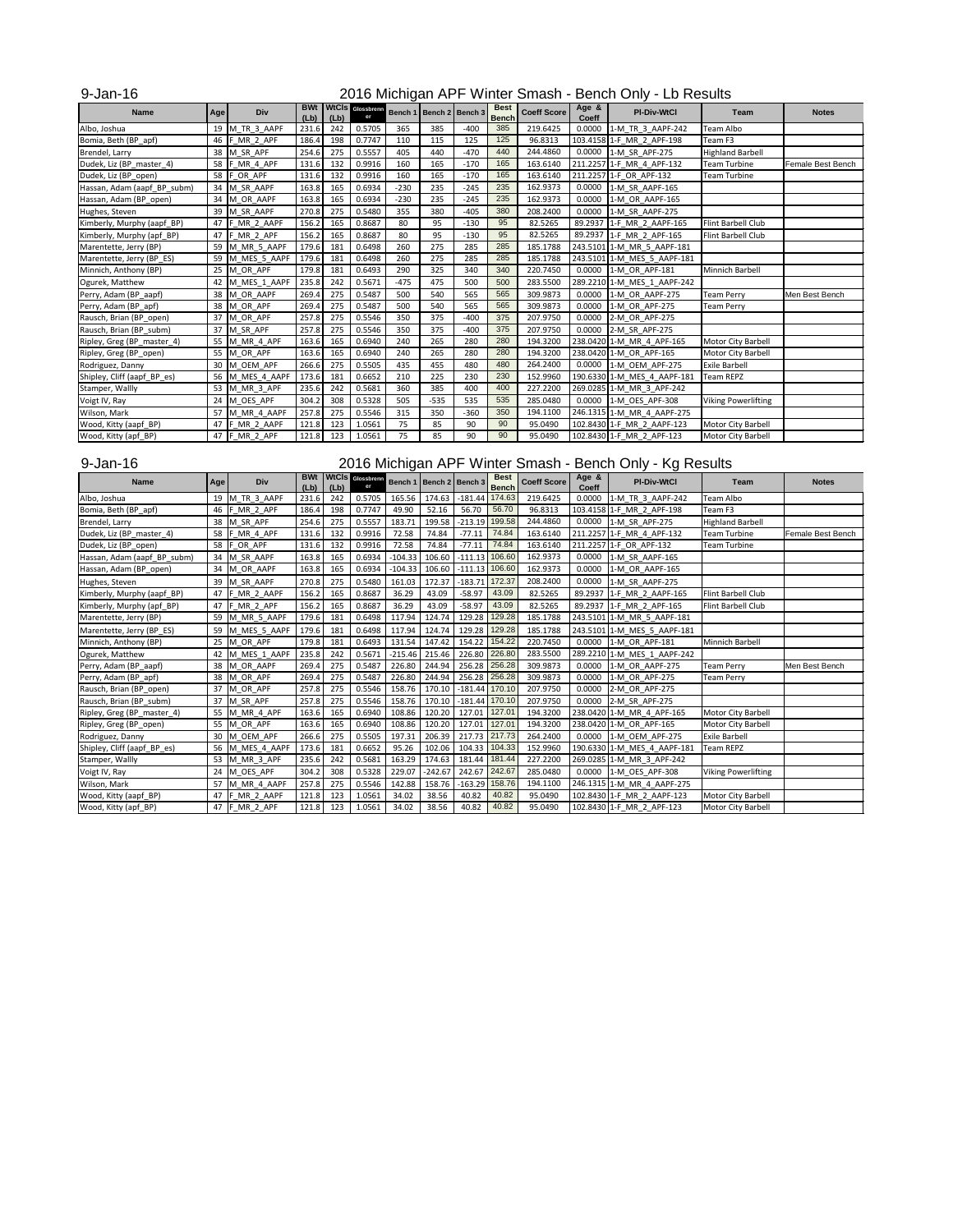### 9-Jan-16

| <b>Name</b>                 | Age | <b>Div</b>    | <b>BWt</b><br>(Lb) | (Lb) | <b>WtCIS</b> Glossbrenn<br>er |        | Bench 1   Bench 2   Bench 3 |        | <b>Best</b><br><b>Bench</b> | <b>Coeff Score</b> | Age &<br><b>Coeff</b> | <b>PI-Div-WtCl</b>          | <b>Team</b>                | <b>Notes</b>      |
|-----------------------------|-----|---------------|--------------------|------|-------------------------------|--------|-----------------------------|--------|-----------------------------|--------------------|-----------------------|-----------------------------|----------------------------|-------------------|
| Albo, Joshua                | 19  | M TR_3_AAPF   | 231.6              | 242  | 0.5705                        | 365    | 385                         | $-400$ | 385                         | 219.6425           | 0.0000                | 1-M TR 3 AAPF-242           | Team Albo                  |                   |
| Bomia, Beth (BP_apf)        | 46  | F MR 2 APF    | 186.4              | 198  | 0.7747                        | 110    | 115                         | 125    | 125                         | 96.8313            |                       | 103.4158 1-F MR 2 APF-198   | Team F3                    |                   |
| Brendel, Larry              | 38  | M SR APF      | 254.6              | 275  | 0.5557                        | 405    | 440                         | $-470$ | 440                         | 244.4860           |                       | 0.0000 1-M SR APF-275       | <b>Highland Barbell</b>    |                   |
| Dudek, Liz (BP_master_4)    | 58  | F MR 4 APF    | 131.6              | 132  | 0.9916                        | 160    | 165                         | $-170$ | 165                         | 163.6140           |                       | 211.2257 1-F_MR_4_APF-132   | <b>Team Turbine</b>        | Female Best Bench |
| Dudek, Liz (BP_open)        | 58  | OR APF        | 131.6              | 132  | 0.9916                        | 160    | 165                         | $-170$ | 165                         | 163.6140           |                       | 211.2257 1-F OR APF-132     | <b>Team Turbine</b>        |                   |
| Hassan, Adam (aapf_BP_subm) | 34  | M SR AAPF     | 163.8              | 165  | 0.6934                        | $-230$ | 235                         | $-245$ | 235                         | 162.9373           | 0.0000                | 1-M SR AAPF-165             |                            |                   |
| Hassan, Adam (BP_open)      | 34  | M_OR_AAPF     | 163.8              | 165  | 0.6934                        | $-230$ | 235                         | $-245$ | 235                         | 162.9373           | 0.0000                | 1-M OR AAPF-165             |                            |                   |
| Hughes, Steven              | 39  | M SR AAPF     | 270.8              | 275  | 0.5480                        | 355    | 380                         | $-405$ | 380                         | 208.2400           | 0.0000                | 1-M SR AAPF-275             |                            |                   |
| Kimberly, Murphy (aapf_BP)  | 47  | F MR 2 AAPF   | 156.2              | 165  | 0.8687                        | 80     | 95                          | $-130$ | 95                          | 82.5265            | 89.2937               | 1-F MR 2 AAPF-165           | Flint Barbell Club         |                   |
| Kimberly, Murphy (apf_BP)   | 47  | F_MR_2_APF    | 156.2              | 165  | 0.8687                        | 80     | 95                          | $-130$ | 95                          | 82.5265            |                       | 89.2937 1-F MR 2 APF-165    | Flint Barbell Club         |                   |
| Marentette, Jerry (BP)      | 59  | M_MR_5_AAPF   | 179.6              | 181  | 0.6498                        | 260    | 275                         | 285    | 285                         | 185.1788           |                       | 243.5101 1-M_MR_5_AAPF-181  |                            |                   |
| Marentette, Jerry (BP_ES)   | 59  | M_MES_5_AAPF  | 179.6              | 181  | 0.6498                        | 260    | 275                         | 285    | 285                         | 185.1788           |                       | 243.5101 1-M_MES_5_AAPF-181 |                            |                   |
| Minnich, Anthony (BP)       | 25  | M OR APF      | 179.8              | 181  | 0.6493                        | 290    | 325                         | 340    | 340                         | 220.7450           | 0.0000                | 1-M OR APF-181              | Minnich Barbell            |                   |
| Ogurek, Matthew             | 42  | M MES 1 AAPF  | 235.8              | 242  | 0.5671                        | $-475$ | 475                         | 500    | 500                         | 283.5500           |                       | 289.2210 1-M MES 1 AAPF-242 |                            |                   |
| Perry, Adam (BP_aapf)       | 38  | M OR AAPF     | 269.4              | 275  | 0.5487                        | 500    | 540                         | 565    | 565                         | 309.9873           | 0.0000                | 1-M OR AAPF-275             | <b>Team Perry</b>          | Men Best Bench    |
| Perry, Adam (BP_apf)        | 38  | M OR APF      | 269.4              | 275  | 0.5487                        | 500    | 540                         | 565    | 565                         | 309.9873           | 0.0000                | 1-M OR APF-275              | <b>Team Perry</b>          |                   |
| Rausch, Brian (BP_open)     | 37  | M OR APF      | 257.8              | 275  | 0.5546                        | 350    | 375                         | $-400$ | 375                         | 207.9750           | 0.0000                | 2-M OR APF-275              |                            |                   |
| Rausch, Brian (BP_subm)     | 37  | M SR APF      | 257.8              | 275  | 0.5546                        | 350    | 375                         | $-400$ | 375                         | 207.9750           | 0.0000                | 2-M SR APF-275              |                            |                   |
| Ripley, Greg (BP_master_4)  | 55  | M MR 4 APF    | 163.6              | 165  | 0.6940                        | 240    | 265                         | 280    | 280                         | 194.3200           |                       | 238.0420 1-M MR 4 APF-165   | <b>Motor City Barbell</b>  |                   |
| Ripley, Greg (BP_open)      | 55  | M OR APF      | 163.6              | 165  | 0.6940                        | 240    | 265                         | 280    | 280                         | 194.3200           |                       | 238.0420 1-M OR APF-165     | Motor City Barbell         |                   |
| Rodriguez, Danny            | 30  | M OEM APF     | 266.6              | 275  | 0.5505                        | 435    | 455                         | 480    | 480                         | 264.2400           |                       | 0.0000 1-M_OEM_APF-275      | <b>Exile Barbell</b>       |                   |
| Shipley, Cliff (aapf_BP_es) | 56  | M_MES_4_AAPF  | 173.6              | 181  | 0.6652                        | 210    | 225                         | 230    | 230                         | 152.9960           |                       | 190.6330 1-M_MES_4_AAPF-181 | <b>Team REPZ</b>           |                   |
| Stamper, Wallly             | 53  | M MR 3 APF    | 235.6              | 242  | 0.5681                        | 360    | 385                         | 400    | 400                         | 227.2200           |                       | 269.0285 1-M MR 3 APF-242   |                            |                   |
| Voigt IV, Ray               | 24  | M OES APF     | 304.2              | 308  | 0.5328                        | 505    | $-535$                      | 535    | 535                         | 285.0480           | 0.0000                | 1-M OES APF-308             | <b>Viking Powerlifting</b> |                   |
| Wilson, Mark                | 57  | M MR 4 AAPF   | 257.8              | 275  | 0.5546                        | 315    | 350                         | $-360$ | 350                         | 194.1100           |                       | 246.1315 1-M MR 4 AAPF-275  |                            |                   |
| Wood, Kitty (aapf_BP)       | 47  | F_MR_2_AAPF   | 121.8              | 123  | 1.0561                        | 75     | 85                          | 90     | 90                          | 95.0490            |                       | 102.8430 1-F MR 2 AAPF-123  | <b>Motor City Barbell</b>  |                   |
| Wood, Kitty (apf_BP)        |     | 47 F_MR_2_APF | 121.8              | 123  | 1.0561                        | 75     | 85                          | 90     | 90                          | 95.0490            |                       | 102.8430 1-F MR 2 APF-123   | <b>Motor City Barbell</b>  |                   |

#### 9-Jan-16

| <b>Name</b>                 | <b>Age</b> | <b>Div</b>   | <b>BWt</b><br>(Lb) | (Lb) | WtCIS Glossbrenn |           | Bench 1   Bench 2   Bench 3 |                  | <b>Best</b><br><b>Bench</b> | <b>Coeff Score</b> | Age &<br><b>Coeff</b> | <b>PI-Div-WtCl</b>          | <b>Team</b>                | <b>Notes</b>      |
|-----------------------------|------------|--------------|--------------------|------|------------------|-----------|-----------------------------|------------------|-----------------------------|--------------------|-----------------------|-----------------------------|----------------------------|-------------------|
| Albo, Joshua                | 19         | M TR 3 AAPF  | 231.6              | 242  | 0.5705           | 165.56    | 174.63                      | $-181.44$        | 174.63                      | 219.6425           | 0.0000                | 1-M_TR_3_AAPF-242           | Team Albo                  |                   |
| Bomia, Beth (BP_apf)        | 46         | MR 2 APF     | 186.4              | 198  | 0.7747           | 49.90     | 52.16                       | 56.70            | 56.70                       | 96.8313            |                       | 103.4158 1-F_MR_2_APF-198   | Team F3                    |                   |
| Brendel, Larry              | 38         | M SR APF     | 254.6              | 275  | 0.5557           | 183.71    | 199.58                      | $-213.19$        | 199.58                      | 244.4860           | 0.0000                | 1-M SR APF-275              | <b>Highland Barbell</b>    |                   |
| Dudek, Liz (BP_master_4)    | 58         | F_MR_4_APF   | 131.6              | 132  | 0.9916           | 72.58     | 74.84                       | $-77.11$         | 74.84                       | 163.6140           |                       | 211.2257 1-F MR 4 APF-132   | <b>Team Turbine</b>        | Female Best Bench |
| Dudek, Liz (BP_open)        | 58         | F OR APF     | 131.6              | 132  | 0.9916           | 72.58     | 74.84                       | $-77.11$         | 74.84                       | 163.6140           |                       | 211.2257 1-F OR APF-132     | <b>Team Turbine</b>        |                   |
| Hassan, Adam (aapf_BP_subm) | 34         | M SR AAPF    | 163.8              | 165  | 0.6934           | $-104.33$ | 106.60                      | $-111.13$        | 106.60                      | 162.9373           | 0.0000                | 1-M SR AAPF-165             |                            |                   |
| Hassan, Adam (BP_open)      | 34         | M_OR_AAPF    | 163.8              | 165  | 0.6934           | $-104.33$ | 106.60                      | $-111.13$ 106.60 |                             | 162.9373           | 0.0000                | 1-M_OR_AAPF-165             |                            |                   |
| Hughes, Steven              | 39         | M SR AAPF    | 270.8              | 275  | 0.5480           | 161.03    | 172.37                      | $-183.71$ 172.37 |                             | 208.2400           | 0.0000                | 1-M_SR_AAPF-275             |                            |                   |
| Kimberly, Murphy (aapf_BP)  | 47         | F_MR_2_AAPF  | 156.2              | 165  | 0.8687           | 36.29     | 43.09                       | $-58.97$         | 43.09                       | 82.5265            | 89.2937               | 1-F_MR_2_AAPF-165           | <b>Flint Barbell Club</b>  |                   |
| Kimberly, Murphy (apf_BP)   | 47         | F MR 2 APF   | 156.2              | 165  | 0.8687           | 36.29     | 43.09                       | $-58.97$         | 43.09                       | 82.5265            |                       | 89.2937 1-F MR 2 APF-165    | Flint Barbell Club         |                   |
| Marentette, Jerry (BP)      | 59         | M_MR_5_AAPF  | 179.6              | 181  | 0.6498           | 117.94    | 124.74                      | 129.28           | 129.28                      | 185.1788           |                       | 243.5101 1-M MR 5 AAPF-181  |                            |                   |
| Marentette, Jerry (BP ES)   | 59         | M MES 5 AAPF | 179.6              | 181  | 0.6498           | 117.94    | 124.74                      | 129.28           | 129.28                      | 185.1788           |                       | 243.5101 1-M MES 5 AAPF-181 |                            |                   |
| Minnich, Anthony (BP)       | 25         | M_OR_APF     | 179.8              | 181  | 0.6493           | 131.54    | 147.42                      | 154.22 154.22    |                             | 220.7450           | 0.0000                | 1-M OR APF-181              | Minnich Barbell            |                   |
| Ogurek, Matthew             | 42         | M MES 1 AAPF | 235.8              | 242  | 0.5671           | $-215.46$ | 215.46                      | 226.80 226.80    |                             | 283.5500           |                       | 289.2210 1-M MES 1 AAPF-242 |                            |                   |
| Perry, Adam (BP_aapf)       | 38         | M OR AAPF    | 269.4              | 275  | 0.5487           | 226.80    | 244.94                      | 256.28 256.28    |                             | 309.9873           | 0.0000                | 1-M OR AAPF-275             | <b>Team Perry</b>          | Men Best Bench    |
| Perry, Adam (BP_apf)        | 38         | M OR APF     | 269.4              | 275  | 0.5487           | 226.80    | 244.94                      | 256.28           | 256.28                      | 309.9873           | 0.0000                | 1-M OR APF-275              | Team Perry                 |                   |
| Rausch, Brian (BP_open)     | 37         | M OR APF     | 257.8              | 275  | 0.5546           | 158.76    | 170.10                      | $-181.44$ 170.10 |                             | 207.9750           | 0.0000                | 2-M OR APF-275              |                            |                   |
| Rausch, Brian (BP_subm)     | 37         | M SR APF     | 257.8              | 275  | 0.5546           | 158.76    | 170.10                      | $-181.44$ 170.10 |                             | 207.9750           | 0.0000                | 2-M SR APF-275              |                            |                   |
| Ripley, Greg (BP_master_4)  | 55         | M_MR_4_APF   | 163.6              | 165  | 0.6940           | 108.86    | 120.20                      | 127.01 127.01    |                             | 194.3200           |                       | 238.0420 1-M MR 4 APF-165   | Motor City Barbell         |                   |
| Ripley, Greg (BP_open)      | 55         | M_OR_APF     | 163.6              | 165  | 0.6940           | 108.86    | 120.20                      | 127.01 127.01    |                             | 194.3200           |                       | 238.0420 1-M OR APF-165     | Motor City Barbell         |                   |
| Rodriguez, Danny            | 30         | M OEM APF    | 266.6              | 275  | 0.5505           | 197.31    | 206.39                      | 217.73 217.73    |                             | 264.2400           | 0.0000                | 1-M OEM APF-275             | <b>Exile Barbell</b>       |                   |
| Shipley, Cliff (aapf_BP_es) | 56         | M MES 4 AAPF | 173.6              | 181  | 0.6652           | 95.26     | 102.06                      | 104.33           | 104.33                      | 152.9960           |                       | 190.6330 1-M MES 4 AAPF-181 | <b>Team REPZ</b>           |                   |
| Stamper, Wallly             | 53         | M_MR_3_APF   | 235.6              | 242  | 0.5681           | 163.29    | 174.63                      | 181.44           | 181.44                      | 227.2200           |                       | 269.0285 1-M MR 3 APF-242   |                            |                   |
| Voigt IV, Ray               | 24         | M OES APF    | 304.2              | 308  | 0.5328           | 229.07    | $-242.67$                   | 242.67 242.67    |                             | 285.0480           | 0.0000                | 1-M OES APF-308             | <b>Viking Powerlifting</b> |                   |
| Wilson, Mark                | 57         | M MR 4 AAPF  | 257.8              | 275  | 0.5546           | 142.88    | 158.76                      | $-163.29$        | 158.76                      | 194.1100           |                       | 246.1315 1-M MR 4 AAPF-275  |                            |                   |
| Wood, Kitty (aapf_BP)       | 47         | F MR 2 AAPF  | 121.8              | 123  | 1.0561           | 34.02     | 38.56                       | 40.82            | 40.82                       | 95.0490            |                       | 102.8430 1-F MR 2 AAPF-123  | Motor City Barbell         |                   |
| Wood, Kitty (apf_BP)        | 47         | F MR 2 APF   | 121.8              | 123  | 1.0561           | 34.02     | 38.56                       | 40.82            | 40.82                       | 95.0490            |                       | 102.8430 1-F MR 2 APF-123   | <b>Motor City Barbell</b>  |                   |

### 2016 Michigan APF Winter Smash - Bench Only - Lb Results

### 2016 Michigan APF Winter Smash - Bench Only - Kg Results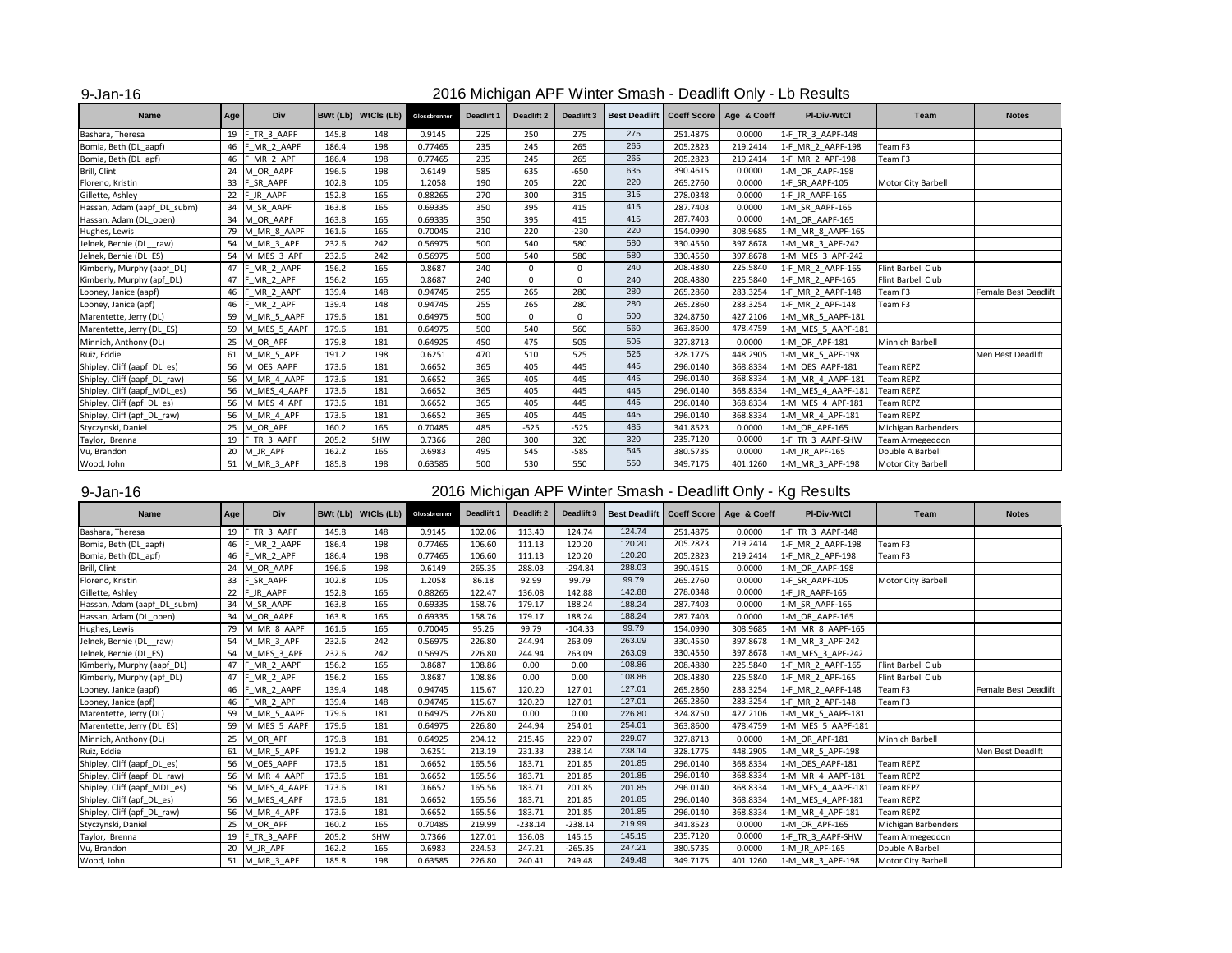#### 9-Jan-16

### 2016 Michigan APF Winter Smash - Deadlift Only - Lb Results

| <b>Name</b>                  | Age | <b>Div</b>     |       | <b>BWt (Lb)</b> WtCls (Lb) | Glossbrenner | <b>Deadlift 1</b> | <b>Deadlift 2</b> | <b>Deadlift 3</b> | <b>Best Deadlift</b> |          | Coeff Score   Age & Coeff | <b>PI-Div-WtCl</b> | Team                      | <b>Notes</b>                |
|------------------------------|-----|----------------|-------|----------------------------|--------------|-------------------|-------------------|-------------------|----------------------|----------|---------------------------|--------------------|---------------------------|-----------------------------|
| Bashara, Theresa             | 19  | F TR 3 AAPF    | 145.8 | 148                        | 0.9145       | 225               | 250               | 275               | 275                  | 251.4875 | 0.0000                    | 1-F TR_3_AAPF-148  |                           |                             |
| Bomia, Beth (DL_aapf)        | 46  | F MR 2 AAPF    | 186.4 | 198                        | 0.77465      | 235               | 245               | 265               | 265                  | 205.2823 | 219.2414                  | 1-F MR 2 AAPF-198  | Team F3                   |                             |
| Bomia, Beth (DL_apf)         | 46  | F MR 2 APF     | 186.4 | 198                        | 0.77465      | 235               | 245               | 265               | 265                  | 205.2823 | 219.2414                  | 1-F MR 2 APF-198   | Team F3                   |                             |
| Brill, Clint                 | 24  | M OR AAPF      | 196.6 | 198                        | 0.6149       | 585               | 635               | $-650$            | 635                  | 390.4615 | 0.0000                    | 1-M OR AAPF-198    |                           |                             |
| Floreno, Kristin             | 33  | F SR AAPF      | 102.8 | 105                        | 1.2058       | 190               | 205               | 220               | 220                  | 265.2760 | 0.0000                    | 1-F SR AAPF-105    | <b>Motor City Barbell</b> |                             |
| Gillette, Ashley             | 22  | F_JR_AAPF      | 152.8 | 165                        | 0.88265      | 270               | 300               | 315               | 315                  | 278.0348 | 0.0000                    | 1-F JR AAPF-165    |                           |                             |
| Hassan, Adam (aapf_DL_subm)  | 34  | M SR AAPF      | 163.8 | 165                        | 0.69335      | 350               | 395               | 415               | 415                  | 287.7403 | 0.0000                    | 1-M SR AAPF-165    |                           |                             |
| Hassan, Adam (DL_open)       | 34  | M OR AAPF      | 163.8 | 165                        | 0.69335      | 350               | 395               | 415               | 415                  | 287.7403 | 0.0000                    | 1-M OR AAPF-165    |                           |                             |
| Hughes, Lewis                | 79  | M_MR_8_AAPF    | 161.6 | 165                        | 0.70045      | 210               | 220               | $-230$            | 220                  | 154.0990 | 308.9685                  | 1-M MR 8 AAPF-165  |                           |                             |
| Jelnek, Bernie (DL raw)      | 54  | M MR 3 APF     | 232.6 | 242                        | 0.56975      | 500               | 540               | 580               | 580                  | 330.4550 | 397.8678                  | 1-M MR 3 APF-242   |                           |                             |
| Jelnek, Bernie (DL ES)       | 54  | M MES 3 APF    | 232.6 | 242                        | 0.56975      | 500               | 540               | 580               | 580                  | 330.4550 | 397.8678                  | 1-M MES 3 APF-242  |                           |                             |
| Kimberly, Murphy (aapf_DL)   | 47  | F MR 2 AAPF    | 156.2 | 165                        | 0.8687       | 240               | $\overline{0}$    | $\Omega$          | 240                  | 208.4880 | 225.5840                  | 1-F MR 2 AAPF-165  | Flint Barbell Club        |                             |
| Kimberly, Murphy (apf_DL)    | 47  | F MR 2 APF     | 156.2 | 165                        | 0.8687       | 240               | $\Omega$          | $\Omega$          | 240                  | 208.4880 | 225.5840                  | 1-F MR 2 APF-165   | Flint Barbell Club        |                             |
| Looney, Janice (aapf)        | 46  | F MR 2 AAPF    | 139.4 | 148                        | 0.94745      | 255               | 265               | 280               | 280                  | 265.2860 | 283.3254                  | 1-F MR 2 AAPF-148  | Team F3                   | <b>Female Best Deadlift</b> |
| Looney, Janice (apf)         | 46  | F MR 2 APF     | 139.4 | 148                        | 0.94745      | 255               | 265               | 280               | 280                  | 265.2860 | 283.3254                  | 1-F MR 2 APF-148   | Team F3                   |                             |
| Marentette, Jerry (DL)       | 59  | M MR 5 AAPF    | 179.6 | 181                        | 0.64975      | 500               | $\overline{0}$    | $\mathbf 0$       | 500                  | 324.8750 | 427.2106                  | 1-M MR 5 AAPF-181  |                           |                             |
| Marentette, Jerry (DL_ES)    | 59  | M_MES_5_AAPF   | 179.6 | 181                        | 0.64975      | 500               | 540               | 560               | 560                  | 363.8600 | 478.4759                  | 1-M_MES_5_AAPF-181 |                           |                             |
| Minnich, Anthony (DL)        | 25  | M OR APF       | 179.8 | 181                        | 0.64925      | 450               | 475               | 505               | 505                  | 327.8713 | 0.0000                    | 1-M OR APF-181     | Minnich Barbell           |                             |
| Ruiz, Eddie                  | 61  | M MR 5 APF     | 191.2 | 198                        | 0.6251       | 470               | 510               | 525               | 525                  | 328.1775 | 448.2905                  | 1-M MR 5 APF-198   |                           | Men Best Deadlift           |
| Shipley, Cliff (aapf_DL_es)  |     | 56 M OES AAPF  | 173.6 | 181                        | 0.6652       | 365               | 405               | 445               | 445                  | 296.0140 | 368.8334                  | 1-M OES AAPF-181   | <b>Team REPZ</b>          |                             |
| Shipley, Cliff (aapf_DL_raw) | 56  | M MR 4 AAPF    | 173.6 | 181                        | 0.6652       | 365               | 405               | 445               | 445                  | 296.0140 | 368.8334                  | 1-M MR 4 AAPF-181  | <b>Team REPZ</b>          |                             |
| Shipley, Cliff (aapf_MDL_es) | 56  | M MES 4 AAPF   | 173.6 | 181                        | 0.6652       | 365               | 405               | 445               | 445                  | 296.0140 | 368.8334                  | 1-M MES 4 AAPF-181 | <b>Team REPZ</b>          |                             |
| Shipley, Cliff (apf_DL_es)   |     | 56 M_MES_4_APF | 173.6 | 181                        | 0.6652       | 365               | 405               | 445               | 445                  | 296.0140 | 368.8334                  | 1-M_MES_4_APF-181  | <b>Team REPZ</b>          |                             |
| Shipley, Cliff (apf_DL_raw)  |     | 56 M MR 4 APF  | 173.6 | 181                        | 0.6652       | 365               | 405               | 445               | 445                  | 296.0140 | 368.8334                  | 1-M MR 4 APF-181   | Team REPZ                 |                             |
| Styczynski, Daniel           | 25  | M OR APF       | 160.2 | 165                        | 0.70485      | 485               | $-525$            | $-525$            | 485                  | 341.8523 | 0.0000                    | 1-M OR APF-165     | Michigan Barbenders       |                             |
| Taylor, Brenna               | 19  | F TR 3 AAPF    | 205.2 | SHW                        | 0.7366       | 280               | 300               | 320               | 320                  | 235.7120 | 0.0000                    | 1-F TR 3 AAPF-SHW  | Team Armegeddon           |                             |
| Vu, Brandon                  | 20  | M JR APF       | 162.2 | 165                        | 0.6983       | 495               | 545               | $-585$            | 545                  | 380.5735 | 0.0000                    | 1-M JR APF-165     | Double A Barbell          |                             |
| Wood, John                   | 51  | M MR 3 APF     | 185.8 | 198                        | 0.63585      | 500               | 530               | 550               | 550                  | 349.7175 | 401.1260                  | 1-M_MR_3_APF-198   | <b>Motor City Barbell</b> |                             |

### 9-Jan-16

| <b>Name</b>                  | Age | <b>Div</b>      |       | <b>BWt (Lb)</b> WtCls (Lb) | Glossbrenner | Deadlift 1 | <b>Deadlift 2</b> | Deadlift 3 |        |          | Best Deadlift   Coeff Score   Age & Coeff | <b>PI-Div-WtCl</b> | Team                | <b>Notes</b>                |
|------------------------------|-----|-----------------|-------|----------------------------|--------------|------------|-------------------|------------|--------|----------|-------------------------------------------|--------------------|---------------------|-----------------------------|
| Bashara, Theresa             | 19  | F_TR_3_AAPF     | 145.8 | 148                        | 0.9145       | 102.06     | 113.40            | 124.74     | 124.74 | 251.4875 | 0.0000                                    | 1-F TR 3 AAPF-148  |                     |                             |
| Bomia, Beth (DL_aapf)        |     | 46 F_MR_2_AAPF  | 186.4 | 198                        | 0.77465      | 106.60     | 111.13            | 120.20     | 120.20 | 205.2823 | 219.2414                                  | 1-F MR 2 AAPF-198  | Team F3             |                             |
| Bomia, Beth (DL_apf)         | 46  | F MR 2 APF      | 186.4 | 198                        | 0.77465      | 106.60     | 111.13            | 120.20     | 120.20 | 205.2823 | 219.2414                                  | 1-F MR 2 APF-198   | Team F3             |                             |
| Brill, Clint                 |     | 24 M_OR_AAPF    | 196.6 | 198                        | 0.6149       | 265.35     | 288.03            | $-294.84$  | 288.03 | 390.4615 | 0.0000                                    | 1-M OR AAPF-198    |                     |                             |
| Floreno, Kristin             | 33  | F_SR_AAPF       | 102.8 | 105                        | 1.2058       | 86.18      | 92.99             | 99.79      | 99.79  | 265.2760 | 0.0000                                    | 1-F_SR_AAPF-105    | Motor City Barbell  |                             |
| Gillette, Ashley             |     | 22 F JR AAPF    | 152.8 | 165                        | 0.88265      | 122.47     | 136.08            | 142.88     | 142.88 | 278.0348 | 0.0000                                    | 1-F JR AAPF-165    |                     |                             |
| Hassan, Adam (aapf_DL_subm)  |     | 34 M SR AAPF    | 163.8 | 165                        | 0.69335      | 158.76     | 179.17            | 188.24     | 188.24 | 287.7403 | 0.0000                                    | 1-M SR AAPF-165    |                     |                             |
| Hassan, Adam (DL_open)       |     | 34 M OR AAPF    | 163.8 | 165                        | 0.69335      | 158.76     | 179.17            | 188.24     | 188.24 | 287.7403 | 0.0000                                    | 1-M OR AAPF-165    |                     |                             |
| Hughes, Lewis                |     | 79 M MR 8 AAPF  | 161.6 | 165                        | 0.70045      | 95.26      | 99.79             | $-104.33$  | 99.79  | 154.0990 | 308.9685                                  | 1-M MR 8 AAPF-165  |                     |                             |
| Jelnek, Bernie (DL raw)      |     | 54 M_MR_3_APF   | 232.6 | 242                        | 0.56975      | 226.80     | 244.94            | 263.09     | 263.09 | 330.4550 | 397.8678                                  | 1-M MR 3 APF-242   |                     |                             |
| Jelnek, Bernie (DL_ES)       |     | 54 M_MES_3_APF  | 232.6 | 242                        | 0.56975      | 226.80     | 244.94            | 263.09     | 263.09 | 330.4550 | 397.8678                                  | 1-M MES 3 APF-242  |                     |                             |
| Kimberly, Murphy (aapf_DL)   |     | 47 F MR 2 AAPF  | 156.2 | 165                        | 0.8687       | 108.86     | 0.00              | 0.00       | 108.86 | 208.4880 | 225.5840                                  | 1-F_MR_2_AAPF-165  | Flint Barbell Club  |                             |
| Kimberly, Murphy (apf_DL)    | 47  | F_MR_2_APF      | 156.2 | 165                        | 0.8687       | 108.86     | 0.00              | 0.00       | 108.86 | 208.4880 | 225.5840                                  | 1-F MR 2 APF-165   | Flint Barbell Club  |                             |
| Looney, Janice (aapf)        |     | 46 F MR 2 AAPF  | 139.4 | 148                        | 0.94745      | 115.67     | 120.20            | 127.01     | 127.01 | 265.2860 | 283.3254                                  | 1-F MR 2 AAPF-148  | Team F3             | <b>Female Best Deadlift</b> |
| Looney, Janice (apf)         |     | 46 F_MR_2_APF   | 139.4 | 148                        | 0.94745      | 115.67     | 120.20            | 127.01     | 127.01 | 265.2860 | 283.3254                                  | 1-F MR 2 APF-148   | Team F3             |                             |
| Marentette, Jerry (DL)       |     | 59 M MR 5 AAPF  | 179.6 | 181                        | 0.64975      | 226.80     | 0.00              | 0.00       | 226.80 | 324.8750 | 427.2106                                  | 1-M MR 5 AAPF-181  |                     |                             |
| Marentette, Jerry (DL_ES)    | 59  | M_MES_5_AAPF    | 179.6 | 181                        | 0.64975      | 226.80     | 244.94            | 254.01     | 254.01 | 363.8600 | 478.4759                                  | 1-M_MES_5_AAPF-181 |                     |                             |
| Minnich, Anthony (DL)        | 25  | M OR APF        | 179.8 | 181                        | 0.64925      | 204.12     | 215.46            | 229.07     | 229.07 | 327.8713 | 0.0000                                    | 1-M OR APF-181     | Minnich Barbell     |                             |
| Ruiz, Eddie                  |     | 61 M MR 5 APF   | 191.2 | 198                        | 0.6251       | 213.19     | 231.33            | 238.14     | 238.14 | 328.1775 | 448.2905                                  | 1-M MR 5 APF-198   |                     | Men Best Deadlift           |
| Shipley, Cliff (aapf_DL_es)  |     | 56 M OES AAPF   | 173.6 | 181                        | 0.6652       | 165.56     | 183.71            | 201.85     | 201.85 | 296.0140 | 368.8334                                  | 1-M OES AAPF-181   | <b>Team REPZ</b>    |                             |
| Shipley, Cliff (aapf_DL_raw) |     | 56 M MR 4 AAPF  | 173.6 | 181                        | 0.6652       | 165.56     | 183.71            | 201.85     | 201.85 | 296.0140 | 368.8334                                  | 1-M MR 4 AAPF-181  | Team REPZ           |                             |
| Shipley, Cliff (aapf_MDL_es) |     | 56 M MES 4 AAPF | 173.6 | 181                        | 0.6652       | 165.56     | 183.71            | 201.85     | 201.85 | 296.0140 | 368.8334                                  | 1-M MES 4 AAPF-181 | <b>Team REPZ</b>    |                             |
| Shipley, Cliff (apf_DL_es)   |     | 56 M_MES_4_APF  | 173.6 | 181                        | 0.6652       | 165.56     | 183.71            | 201.85     | 201.85 | 296.0140 | 368.8334                                  | 1-M MES 4 APF-181  | <b>Team REPZ</b>    |                             |
| Shipley, Cliff (apf_DL_raw)  |     | 56 M_MR_4_APF   | 173.6 | 181                        | 0.6652       | 165.56     | 183.71            | 201.85     | 201.85 | 296.0140 | 368.8334                                  | 1-M MR 4 APF-181   | <b>Team REPZ</b>    |                             |
| Styczynski, Daniel           |     | 25 M_OR_APF     | 160.2 | 165                        | 0.70485      | 219.99     | $-238.14$         | $-238.14$  | 219.99 | 341.8523 | 0.0000                                    | 1-M OR APF-165     | Michigan Barbenders |                             |
| Taylor, Brenna               | 19  | F TR 3 AAPF     | 205.2 | SHW                        | 0.7366       | 127.01     | 136.08            | 145.15     | 145.15 | 235.7120 | 0.0000                                    | 1-F TR 3 AAPF-SHW  | Team Armegeddon     |                             |
| Vu, Brandon                  |     | 20 M_JR_APF     | 162.2 | 165                        | 0.6983       | 224.53     | 247.21            | $-265.35$  | 247.21 | 380.5735 | 0.0000                                    | 1-M JR APF-165     | Double A Barbell    |                             |
| Wood, John                   |     | 51 M MR 3 APF   | 185.8 | 198                        | 0.63585      | 226.80     | 240.41            | 249.48     | 249.48 | 349.7175 | 401.1260                                  | 1-M MR 3 APF-198   | Motor City Barbell  |                             |

## 2016 Michigan APF Winter Smash - Deadlift Only - Kg Results